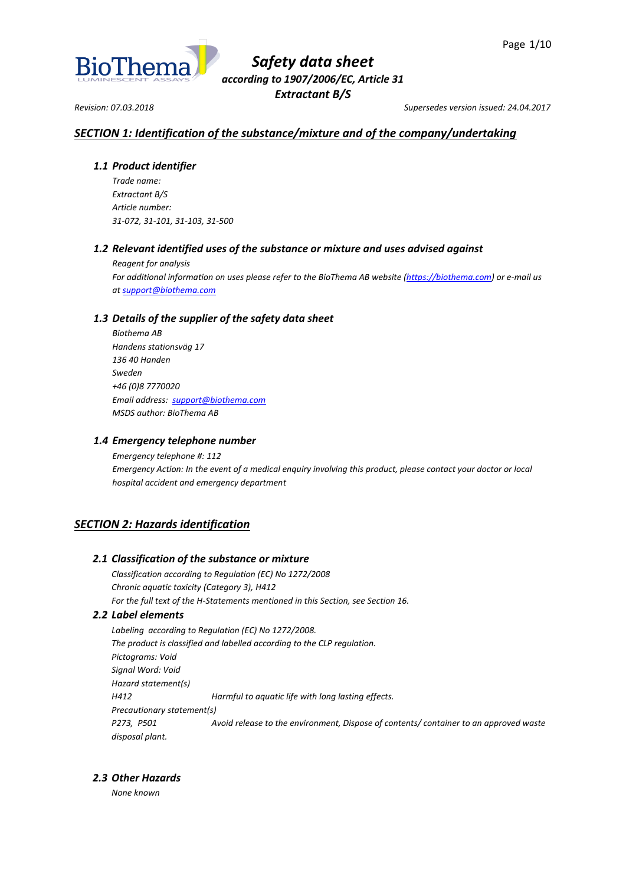

*Revision: 07.03.2018 Supersedes version issued: 24.04.2017*

# *SECTION 1: Identification of the substance/mixture and of the company/undertaking*

## *1.1 Product identifier*

*Trade name: Extractant B/S Article number: 31-072, 31-101, 31-103, 31-500*

# *1.2 Relevant identified uses of the substance or mixture and uses advised against*

*Reagent for analysis For additional information on uses please refer to the BioThema AB website [\(https://biothema.com\)](https://biothema.com/) or e-mail us a[t support@biothema.com](mailto:support@biothema.com)*

# *1.3 Details of the supplier of the safety data sheet*

*Biothema AB Handens stationsväg 17 136 40 Handen Sweden +46 (0)8 7770020 Email address: [support@biothema.com](mailto:support@biothema.com) MSDS author: BioThema AB*

## *1.4 Emergency telephone number*

*Emergency telephone #: 112 Emergency Action: In the event of a medical enquiry involving this product, please contact your doctor or local hospital accident and emergency department*

# *SECTION 2: Hazards identification*

## *2.1 Classification of the substance or mixture*

*Classification according to Regulation (EC) No 1272/2008 Chronic aquatic toxicity (Category 3), H412 For the full text of the H-Statements mentioned in this Section, see Section 16.*

## *2.2 Label elements*

*Labeling according to Regulation (EC) No 1272/2008. The product is classified and labelled according to the CLP regulation. Pictograms: Void Signal Word: Void Hazard statement(s) H412 Harmful to aquatic life with long lasting effects. Precautionary statement(s) P273, P501 Avoid release to the environment, Dispose of contents/ container to an approved waste disposal plant.*

# *2.3 Other Hazards*

*None known*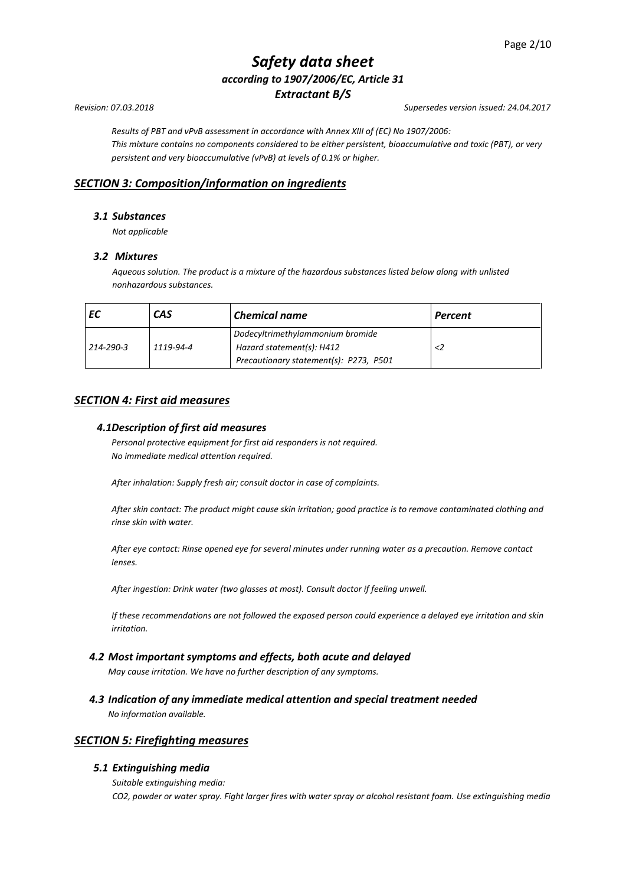*Results of PBT and vPvB assessment in accordance with Annex XIII of (EC) No 1907/2006: This mixture contains no components considered to be either persistent, bioaccumulative and toxic (PBT), or very persistent and very bioaccumulative (vPvB) at levels of 0.1% or higher.*

# *SECTION 3: Composition/information on ingredients*

## *3.1 Substances*

*Not applicable*

## *3.2 Mixtures*

*Aqueous solution. The product is a mixture of the hazardous substances listed below along with unlisted nonhazardous substances.*

|           | CAS       | <b>Chemical name</b>                   | Percent |
|-----------|-----------|----------------------------------------|---------|
| 214-290-3 | 1119-94-4 | Dodecyltrimethylammonium bromide       |         |
|           |           | Hazard statement(s): H412              |         |
|           |           | Precautionary statement(s): P273, P501 |         |

# *SECTION 4: First aid measures*

### *4.1Description of first aid measures*

*Personal protective equipment for first aid responders is not required. No immediate medical attention required.*

*After inhalation: Supply fresh air; consult doctor in case of complaints.*

*After skin contact: The product might cause skin irritation; good practice is to remove contaminated clothing and rinse skin with water.*

*After eye contact: Rinse opened eye for several minutes under running water as a precaution. Remove contact lenses.*

*After ingestion: Drink water (two glasses at most). Consult doctor if feeling unwell.*

*If these recommendations are not followed the exposed person could experience a delayed eye irritation and skin irritation.*

## *4.2 Most important symptoms and effects, both acute and delayed*

*May cause irritation. We have no further description of any symptoms.*

*4.3 Indication of any immediate medical attention and special treatment needed No information available.*

## *SECTION 5: Firefighting measures*

## *5.1 Extinguishing media*

*Suitable extinguishing media:*

*CO2, powder or water spray. Fight larger fires with water spray or alcohol resistant foam. Use extinguishing media* 

*Revision: 07.03.2018 Supersedes version issued: 24.04.2017*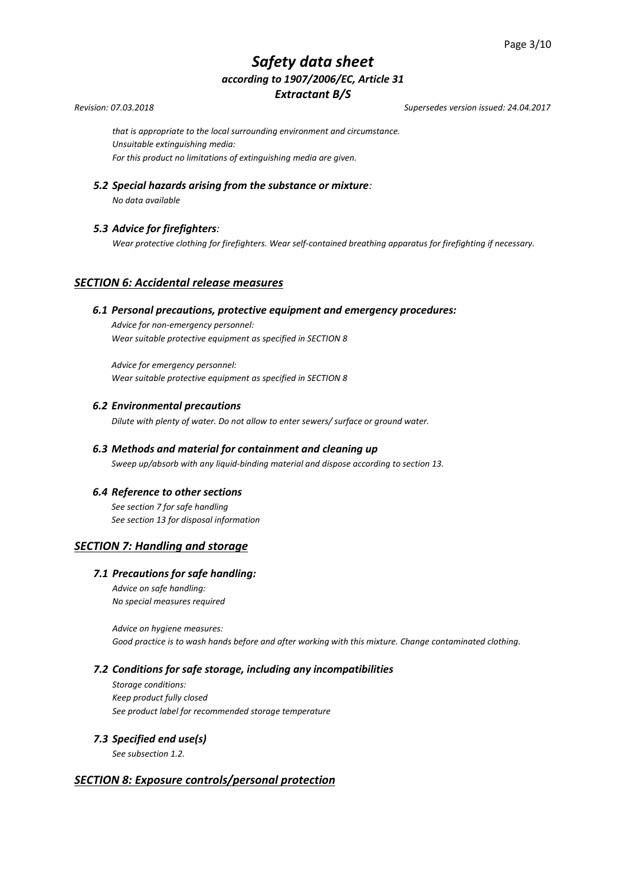*Revision: 07.03.2018 Supersedes version issued: 24.04.2017*

*that is appropriate to the local surrounding environment and circumstance. Unsuitable extinguishing media: For this product no limitations of extinguishing media are given.*

*5.2 Special hazards arising from the substance or mixture:* 

*No data available*

# *5.3 Advice for firefighters:*

*Wear protective clothing for firefighters. Wear self-contained breathing apparatus for firefighting if necessary.*

# *SECTION 6: Accidental release measures*

### *6.1 Personal precautions, protective equipment and emergency procedures:*

*Advice for non-emergency personnel: Wear suitable protective equipment as specified in SECTION 8*

*Advice for emergency personnel: Wear suitable protective equipment as specified in SECTION 8* 

### *6.2 Environmental precautions*

*Dilute with plenty of water. Do not allow to enter sewers/ surface or ground water.*

# *6.3 Methods and material for containment and cleaning up Sweep up/absorb with any liquid-binding material and dispose according to section 13.*

## *6.4 Reference to other sections*

*See section 7 for safe handling See section 13 for disposal information*

## *SECTION 7: Handling and storage*

## *7.1 Precautions for safe handling:*

*Advice on safe handling: No special measures required*

*Advice on hygiene measures: Good practice is to wash hands before and after working with this mixture. Change contaminated clothing.*

#### *7.2 Conditions for safe storage, including any incompatibilities*

*Storage conditions: Keep product fully closed See product label for recommended storage temperature* 

## *7.3 Specified end use(s)*

*See subsection 1.2.*

# *SECTION 8: Exposure controls/personal protection*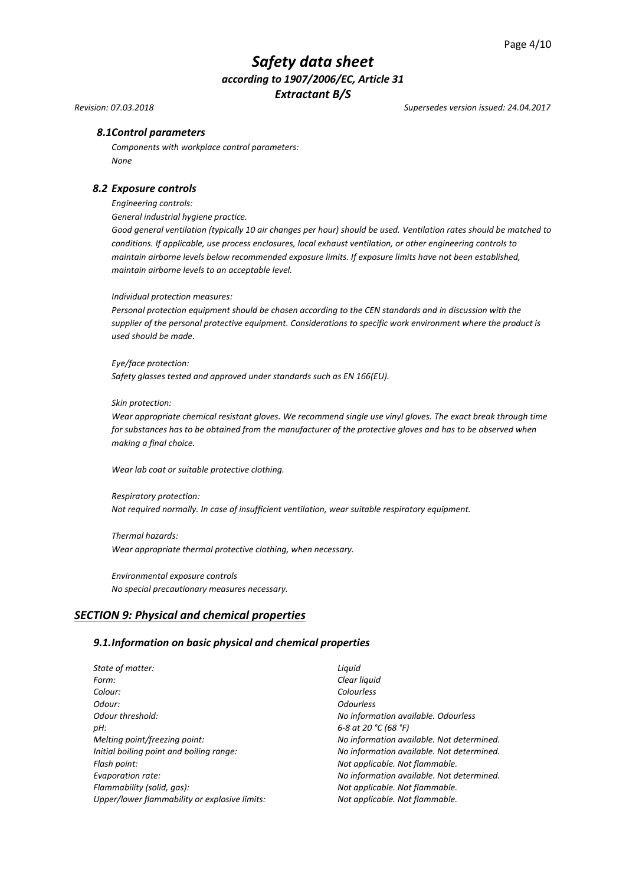*Revision: 07.03.2018 Supersedes version issued: 24.04.2017*

### *8.1Control parameters*

*Components with workplace control parameters: None*

#### *8.2 Exposure controls*

*Engineering controls:*

*General industrial hygiene practice.*

*Good general ventilation (typically 10 air changes per hour) should be used. Ventilation rates should be matched to conditions. If applicable, use process enclosures, local exhaust ventilation, or other engineering controls to maintain airborne levels below recommended exposure limits. If exposure limits have not been established, maintain airborne levels to an acceptable level.*

#### *Individual protection measures:*

*Personal protection equipment should be chosen according to the CEN standards and in discussion with the supplier of the personal protective equipment. Considerations to specific work environment where the product is used should be made.*

#### *Eye/face protection:*

*Safety glasses tested and approved under standards such as EN 166(EU).*

#### *Skin protection:*

*Wear appropriate chemical resistant gloves. We recommend single use vinyl gloves. The exact break through time for substances has to be obtained from the manufacturer of the protective gloves and has to be observed when making a final choice.*

*Wear lab coat or suitable protective clothing.*

*Respiratory protection: Not required normally. In case of insufficient ventilation, wear suitable respiratory equipment.*

*Thermal hazards: Wear appropriate thermal protective clothing, when necessary.*

*Environmental exposure controls No special precautionary measures necessary.*

# *SECTION 9: Physical and chemical properties*

#### *9.1.Information on basic physical and chemical properties*

| State of matter:                              | Liquid                  |
|-----------------------------------------------|-------------------------|
| Form:                                         | Clear liquid            |
| Colour:                                       | Colourless              |
| Odour:                                        | <i><b>Odourless</b></i> |
| Odour threshold:                              | No informa              |
| pH:                                           | 6-8 at 20 °C            |
| Melting point/freezing point:                 | No informa              |
| Initial boiling point and boiling range:      | No informa              |
| Flash point:                                  | Not applica             |
| Evaporation rate:                             | No informa              |
| Flammability (solid, qas):                    | Not applica             |
| Upper/lower flammability or explosive limits: | Not applica             |
|                                               |                         |

*information available. Odourless pH: 6-8 at 20 °C (68 °F) information available. Not determined. information available. Not determined. Flash point: Not applicable. Not flammable. information available. Not determined. Flammability (solid, gas): Not applicable. Not flammable. Upper/lower flammability or explosive limits: Not applicable. Not flammable.*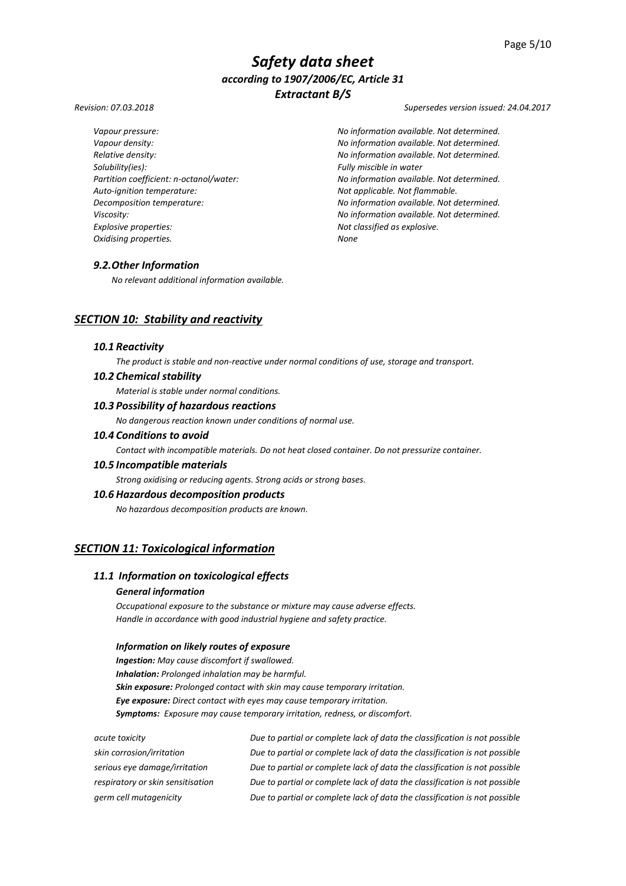*Solubility(ies): Fully miscible in water Auto-ignition temperature: Not applicable. Not flammable. Explosive properties: Not classified as explosive. Oxidising properties. None*

*Revision: 07.03.2018 Supersedes version issued: 24.04.2017*

*Vapour pressure: No information available. Not determined. Vapour density: No information available. Not determined. Relative density: No information available. Not determined. Partition coefficient: n-octanol/water: No information available. Not determined. Decomposition temperature: No information available. Not determined. Viscosity: No information available. Not determined.*

## *9.2.Other Information*

*No relevant additional information available.*

# *SECTION 10: Stability and reactivity*

#### *10.1 Reactivity*

*The product is stable and non-reactive under normal conditions of use, storage and transport.*

# *10.2 Chemical stability*

*Material is stable under normal conditions.*

### *10.3 Possibility of hazardous reactions*

*No dangerous reaction known under conditions of normal use.*

## *10.4 Conditions to avoid*

*Contact with incompatible materials. Do not heat closed container. Do not pressurize container.*

#### *10.5 Incompatible materials*

*Strong oxidising or reducing agents. Strong acids or strong bases.*

#### *10.6 Hazardous decomposition products*

*No hazardous decomposition products are known.*

# *SECTION 11: Toxicological information*

# *11.1 Information on toxicological effects*

# *General information*

*Occupational exposure to the substance or mixture may cause adverse effects. Handle in accordance with good industrial hygiene and safety practice.*

#### *Information on likely routes of exposure*

*Ingestion: May cause discomfort if swallowed. Inhalation: Prolonged inhalation may be harmful. Skin exposure: Prolonged contact with skin may cause temporary irritation. Eye exposure: Direct contact with eyes may cause temporary irritation. Symptoms: Exposure may cause temporary irritation, redness, or discomfort.*

| skin corrosion/irritation<br>Due to partial or complete lack of data the classification is not possible<br>Due to partial or complete lack of data the classification is not possible<br>serious eye damage/irritation<br>Due to partial or complete lack of data the classification is not possible<br>respiratory or skin sensitisation |
|-------------------------------------------------------------------------------------------------------------------------------------------------------------------------------------------------------------------------------------------------------------------------------------------------------------------------------------------|
|                                                                                                                                                                                                                                                                                                                                           |
|                                                                                                                                                                                                                                                                                                                                           |
|                                                                                                                                                                                                                                                                                                                                           |
| Due to partial or complete lack of data the classification is not possible<br>germ cell mutagenicity                                                                                                                                                                                                                                      |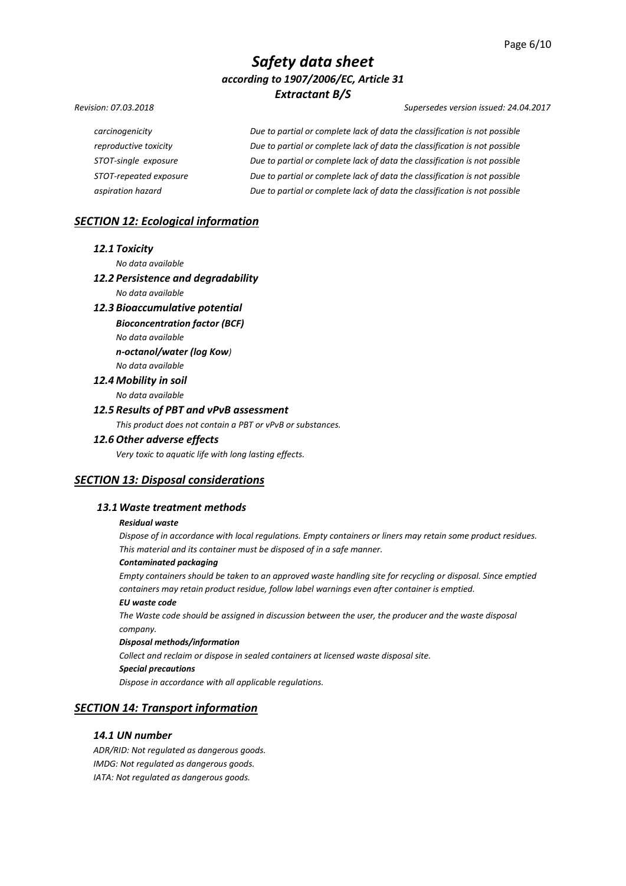#### *Revision: 07.03.2018 Supersedes version issued: 24.04.2017*

*carcinogenicity Due to partial or complete lack of data the classification is not possible reproductive toxicity Due to partial or complete lack of data the classification is not possible STOT-single exposure Due to partial or complete lack of data the classification is not possible STOT-repeated exposure Due to partial or complete lack of data the classification is not possible aspiration hazard Due to partial or complete lack of data the classification is not possible*

# *SECTION 12: Ecological information*

#### *12.1 Toxicity*

*No data available* 

### *12.2 Persistence and degradability*

*No data available*

#### *12.3 Bioaccumulative potential*

*Bioconcentration factor (BCF)*

*No data available* 

*n-octanol/water (log Kow)*

# *No data available 12.4 Mobility in soil*

*No data available* 

#### *12.5 Results of PBT and vPvB assessment*

*This product does not contain a PBT or vPvB or substances.*

#### *12.6 Other adverse effects*

*Very toxic to aquatic life with long lasting effects.*

# *SECTION 13: Disposal considerations*

#### *13.1Waste treatment methods*

#### *Residual waste*

*Dispose of in accordance with local regulations. Empty containers or liners may retain some product residues. This material and its container must be disposed of in a safe manner.*

#### *Contaminated packaging*

*Empty containers should be taken to an approved waste handling site for recycling or disposal. Since emptied containers may retain product residue, follow label warnings even after container is emptied.*

### *EU waste code*

*The Waste code should be assigned in discussion between the user, the producer and the waste disposal company.*

#### *Disposal methods/information*

*Collect and reclaim or dispose in sealed containers at licensed waste disposal site.*

#### *Special precautions*

*Dispose in accordance with all applicable regulations.*

## *SECTION 14: Transport information*

#### *14.1 UN number*

*ADR/RID: Not regulated as dangerous goods. IMDG: Not regulated as dangerous goods. IATA: Not regulated as dangerous goods.*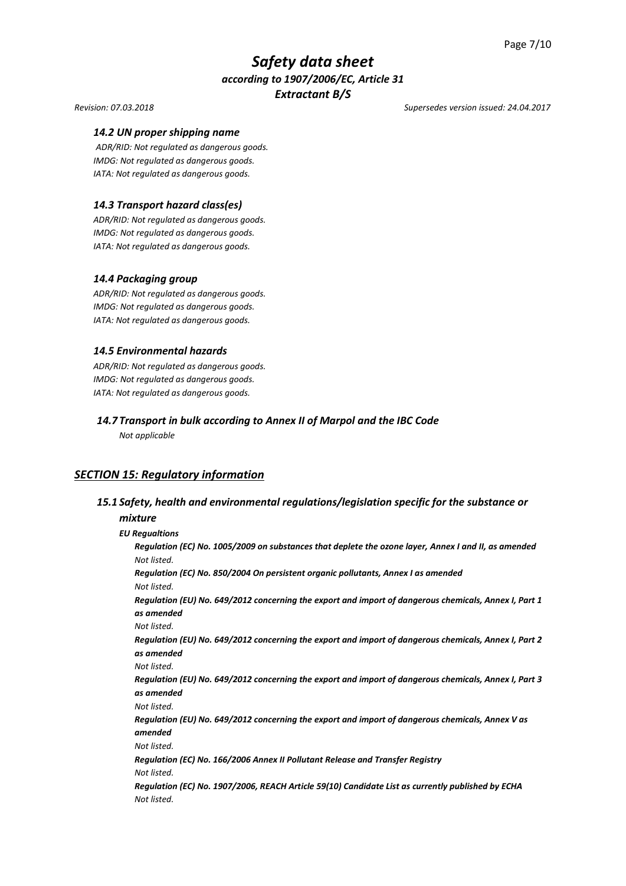#### *Revision: 07.03.2018 Supersedes version issued: 24.04.2017*

#### *14.2 UN proper shipping name*

*ADR/RID: Not regulated as dangerous goods. IMDG: Not regulated as dangerous goods. IATA: Not regulated as dangerous goods.*

### *14.3 Transport hazard class(es)*

*ADR/RID: Not regulated as dangerous goods. IMDG: Not regulated as dangerous goods. IATA: Not regulated as dangerous goods.*

#### *14.4 Packaging group*

*ADR/RID: Not regulated as dangerous goods. IMDG: Not regulated as dangerous goods. IATA: Not regulated as dangerous goods.*

#### *14.5 Environmental hazards*

*ADR/RID: Not regulated as dangerous goods. IMDG: Not regulated as dangerous goods. IATA: Not regulated as dangerous goods.*

# *14.7 Transport in bulk according to Annex II of Marpol and the IBC Code*

*Not applicable*

## *SECTION 15: Regulatory information*

## *15.1 Safety, health and environmental regulations/legislation specific for the substance or*

#### *mixture*

*EU Regualtions Regulation (EC) No. 1005/2009 on substances that deplete the ozone layer, Annex I and II, as amended Not listed. Regulation (EC) No. 850/2004 On persistent organic pollutants, Annex I as amended Not listed. Regulation (EU) No. 649/2012 concerning the export and import of dangerous chemicals, Annex I, Part 1 as amended Not listed. Regulation (EU) No. 649/2012 concerning the export and import of dangerous chemicals, Annex I, Part 2 as amended Not listed. Regulation (EU) No. 649/2012 concerning the export and import of dangerous chemicals, Annex I, Part 3 as amended Not listed. Regulation (EU) No. 649/2012 concerning the export and import of dangerous chemicals, Annex V as amended Not listed. Regulation (EC) No. 166/2006 Annex II Pollutant Release and Transfer Registry Not listed. Regulation (EC) No. 1907/2006, REACH Article 59(10) Candidate List as currently published by ECHA Not listed.*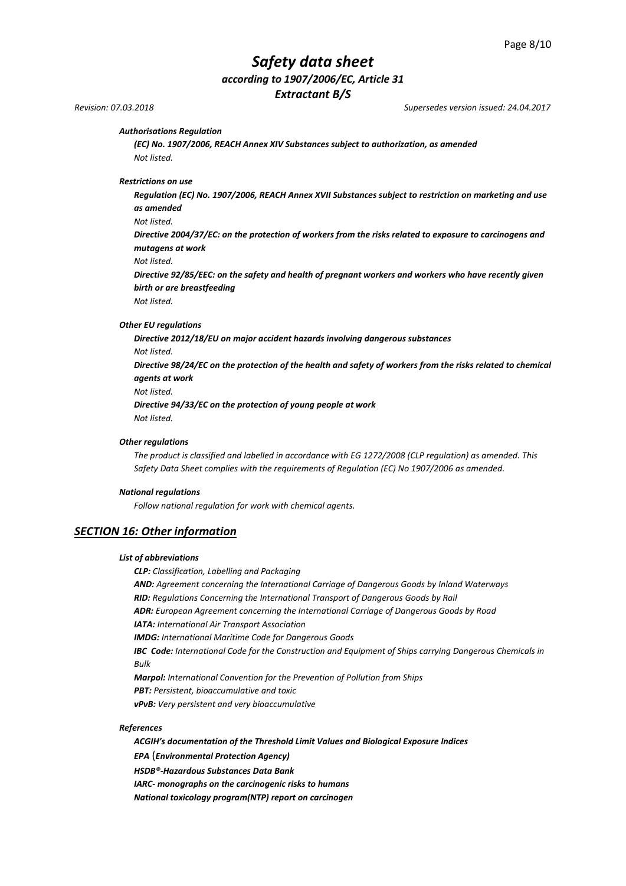# *Safety data sheet according to 1907/2006/EC, Article 31*

*Extractant B/S*

*Revision: 07.03.2018 Supersedes version issued: 24.04.2017*

#### *Authorisations Regulation*

*(EC) No. 1907/2006, REACH Annex XIV Substances subject to authorization, as amended Not listed.*

*Restrictions on use* 

*Regulation (EC) No. 1907/2006, REACH Annex XVII Substances subject to restriction on marketing and use as amended*

*Not listed.*

*Directive 2004/37/EC: on the protection of workers from the risks related to exposure to carcinogens and mutagens at work*

*Not listed.*

*Directive 92/85/EEC: on the safety and health of pregnant workers and workers who have recently given birth or are breastfeeding*

*Not listed.*

#### *Other EU regulations*

*Directive 2012/18/EU on major accident hazards involving dangerous substances Not listed. Directive 98/24/EC on the protection of the health and safety of workers from the risks related to chemical agents at work Not listed. Directive 94/33/EC on the protection of young people at work Not listed.*

#### *Other regulations*

*The product is classified and labelled in accordance with EG 1272/2008 (CLP regulation) as amended. This Safety Data Sheet complies with the requirements of Regulation (EC) No 1907/2006 as amended.*

#### *National regulations*

*Follow national regulation for work with chemical agents.*

#### *SECTION 16: Other information*

#### *List of abbreviations*

*CLP: Classification, Labelling and Packaging*

*AND: Agreement concerning the International Carriage of Dangerous Goods by Inland Waterways RID: Regulations Concerning the International Transport of Dangerous Goods by Rail ADR: European Agreement concerning the International Carriage of Dangerous Goods by Road*

*IATA: International Air Transport Association*

*IMDG: International Maritime Code for Dangerous Goods*

*IBC Code: International Code for the Construction and Equipment of Ships carrying Dangerous Chemicals in Bulk*

*Marpol: International Convention for the Prevention of Pollution from Ships*

*PBT: Persistent, bioaccumulative and toxic* 

*vPvB: Very persistent and very bioaccumulative*

#### *References*

*ACGIH's documentation of the Threshold Limit Values and Biological Exposure Indices EPA* (*Environmental Protection Agency) HSDB®-Hazardous Substances Data Bank IARC- monographs on the carcinogenic risks to humans National toxicology program(NTP) report on carcinogen*